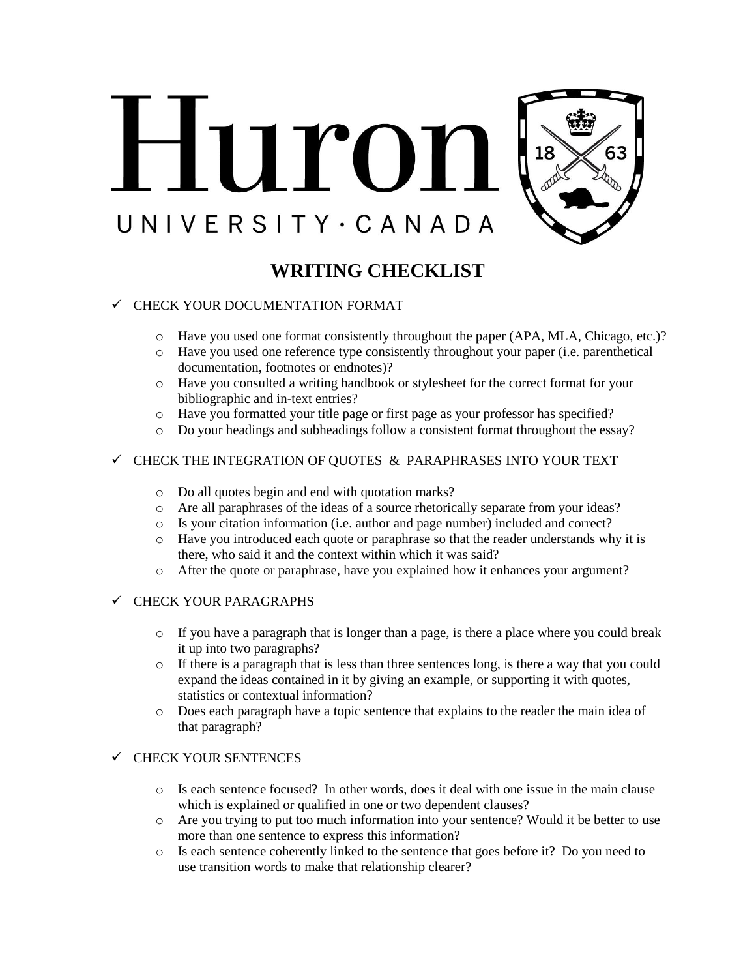

# **WRITING CHECKLIST**

## $\checkmark$  CHECK YOUR DOCUMENTATION FORMAT

- o Have you used one format consistently throughout the paper (APA, MLA, Chicago, etc.)?
- o Have you used one reference type consistently throughout your paper (i.e. parenthetical documentation, footnotes or endnotes)?
- o Have you consulted a writing handbook or stylesheet for the correct format for your bibliographic and in-text entries?
- o Have you formatted your title page or first page as your professor has specified?
- o Do your headings and subheadings follow a consistent format throughout the essay?

### $\checkmark$  CHECK THE INTEGRATION OF QUOTES  $\&$  PARAPHRASES INTO YOUR TEXT

- o Do all quotes begin and end with quotation marks?
- o Are all paraphrases of the ideas of a source rhetorically separate from your ideas?
- o Is your citation information (i.e. author and page number) included and correct?
- o Have you introduced each quote or paraphrase so that the reader understands why it is there, who said it and the context within which it was said?
- o After the quote or paraphrase, have you explained how it enhances your argument?

#### $\checkmark$  CHECK YOUR PARAGRAPHS

- $\circ$  If you have a paragraph that is longer than a page, is there a place where you could break it up into two paragraphs?
- $\circ$  If there is a paragraph that is less than three sentences long, is there a way that you could expand the ideas contained in it by giving an example, or supporting it with quotes, statistics or contextual information?
- o Does each paragraph have a topic sentence that explains to the reader the main idea of that paragraph?

#### $\checkmark$  CHECK YOUR SENTENCES

- o Is each sentence focused? In other words, does it deal with one issue in the main clause which is explained or qualified in one or two dependent clauses?
- o Are you trying to put too much information into your sentence? Would it be better to use more than one sentence to express this information?
- o Is each sentence coherently linked to the sentence that goes before it? Do you need to use transition words to make that relationship clearer?